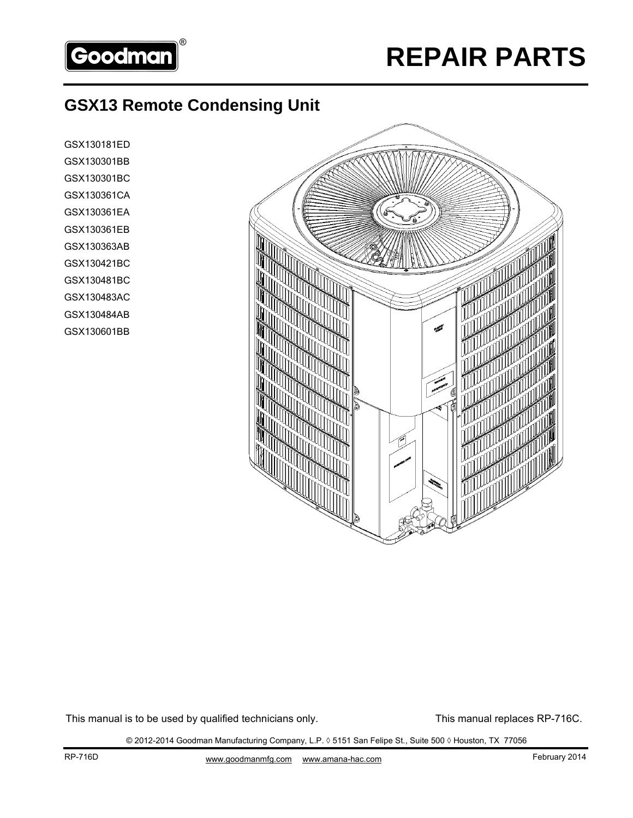

## **GSX13 Remote Condensing Unit**

GSX130181ED GSX130301BB GSX130301BC GSX130361CA GSX130361EA GSX130361EB GSX130363AB GSX130421BC GSX130481BC GSX130483AC GSX130484AB GSX130601BB



This manual is to be used by qualified technicians only. This manual replaces RP-716C.

© 2012-2014 Goodman Manufacturing Company, L.P. ◊ 5151 San Felipe St., Suite 500 ◊ Houston, TX 77056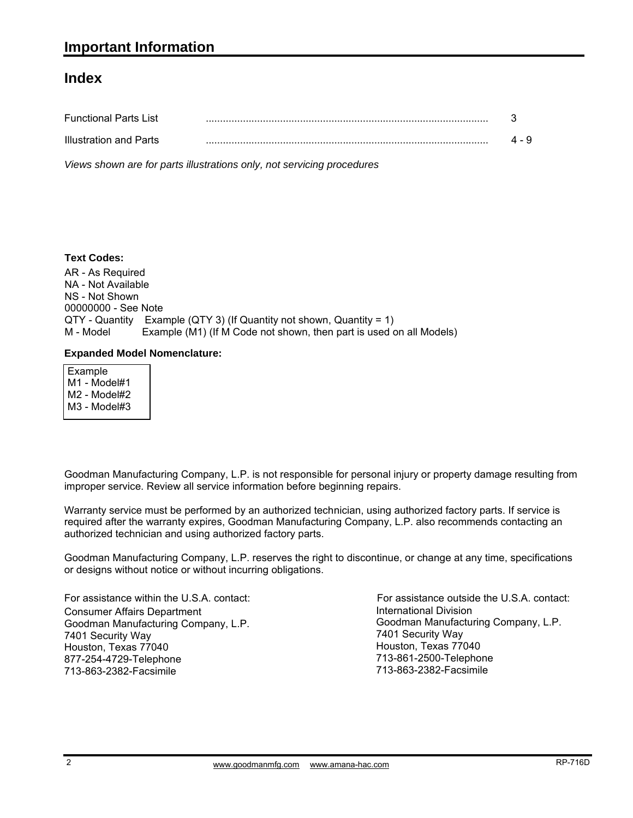## **Index**

| <b>Functional Parts List</b> |       |
|------------------------------|-------|
| Illustration and Parts       | 4 - 9 |

*Views shown are for parts illustrations only, not servicing procedures*

#### **Text Codes:**

AR - As Required NA - Not Available NS - Not Shown 00000000 - See Note QTY - Quantity Example (QTY 3) (If Quantity not shown, Quantity = 1) M - Model Example (M1) (If M Code not shown, then part is used on all Models)

#### **Expanded Model Nomenclature:**

 Example M1 - Model#1 M2 - Model#2 M3 - Model#3

Goodman Manufacturing Company, L.P. is not responsible for personal injury or property damage resulting from improper service. Review all service information before beginning repairs.

Warranty service must be performed by an authorized technician, using authorized factory parts. If service is required after the warranty expires, Goodman Manufacturing Company, L.P. also recommends contacting an authorized technician and using authorized factory parts.

Goodman Manufacturing Company, L.P. reserves the right to discontinue, or change at any time, specifications or designs without notice or without incurring obligations.

For assistance within the U.S.A. contact: Consumer Affairs Department Goodman Manufacturing Company, L.P. 7401 Security Way Houston, Texas 77040 877-254-4729-Telephone 713-863-2382-Facsimile

International Division International Division<br>Goodman Manufacturing Company, L.P. 7401 Security Way Houston, Texas 77040 713-861-2500-Telephone 713-863-2382-Facsimile For assistance outside the U.S.A. contact: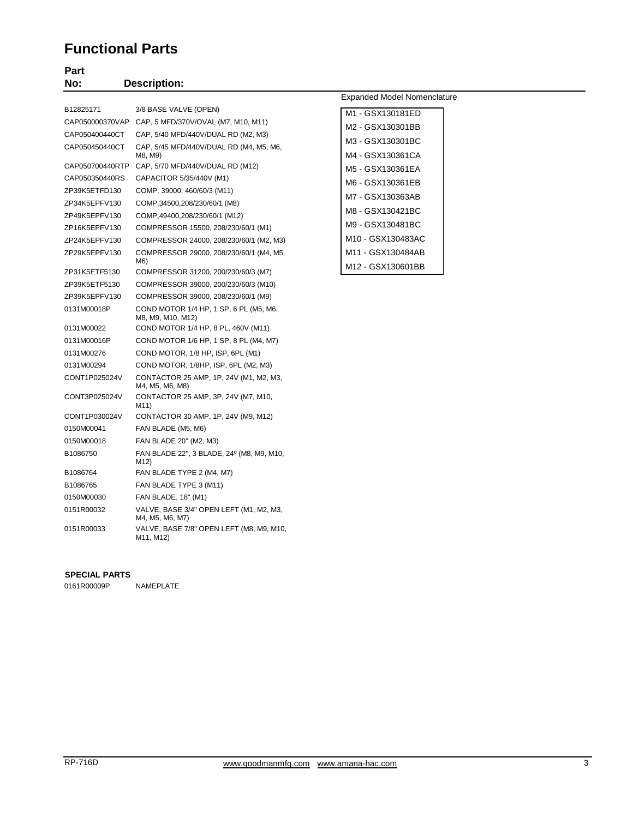## **Functional Parts**

| Part<br>No:     |                                                             |                                      |
|-----------------|-------------------------------------------------------------|--------------------------------------|
|                 | <b>Description:</b>                                         | <b>Expanded Model Nomenclature</b>   |
| B12825171       | 3/8 BASE VALVE (OPEN)                                       |                                      |
|                 | CAP050000370VAP CAP, 5 MFD/370V/OVAL (M7, M10, M11)         | M1 - GSX130181ED                     |
| CAP050400440CT  | CAP, 5/40 MFD/440V/DUAL RD (M2, M3)                         | M2 - GSX130301BB                     |
| CAP050450440CT  | CAP, 5/45 MFD/440V/DUAL RD (M4, M5, M6,<br>M8, M9)          | M3 - GSX130301BC<br>M4 - GSX130361CA |
| CAP050700440RTP | CAP, 5/70 MFD/440V/DUAL RD (M12)                            |                                      |
| CAP050350440RS  | CAPACITOR 5/35/440V (M1)                                    | M5 - GSX130361EA                     |
| ZP39K5ETFD130   | COMP, 39000, 460/60/3 (M11)                                 | M6 - GSX130361EB                     |
| ZP34K5EPFV130   | COMP, 34500, 208/230/60/1 (M8)                              | M7 - GSX130363AB                     |
| ZP49K5EPFV130   | COMP, 49400, 208/230/60/1 (M12)                             | M8 - GSX130421BC                     |
| ZP16K5EPFV130   | COMPRESSOR 15500, 208/230/60/1 (M1)                         | M9 - GSX130481BC                     |
| ZP24K5EPFV130   | COMPRESSOR 24000, 208/230/60/1 (M2, M3)                     | M10 - GSX130483AC                    |
| ZP29K5EPFV130   | COMPRESSOR 29000, 208/230/60/1 (M4, M5,<br>M6)              | M11 - GSX130484AB                    |
| ZP31K5ETF5130   | COMPRESSOR 31200, 200/230/60/3 (M7)                         | M12 - GSX130601BB                    |
| ZP39K5ETF5130   | COMPRESSOR 39000, 200/230/60/3 (M10)                        |                                      |
| ZP39K5EPFV130   | COMPRESSOR 39000, 208/230/60/1 (M9)                         |                                      |
| 0131M00018P     | COND MOTOR 1/4 HP, 1 SP, 6 PL (M5, M6,<br>M8, M9, M10, M12) |                                      |
| 0131M00022      | COND MOTOR 1/4 HP, 8 PL, 460V (M11)                         |                                      |
| 0131M00016P     | COND MOTOR 1/6 HP, 1 SP, 8 PL (M4, M7)                      |                                      |
| 0131M00276      | COND MOTOR, 1/8 HP, ISP, 6PL (M1)                           |                                      |
| 0131M00294      | COND MOTOR, 1/8HP, ISP, 6PL (M2, M3)                        |                                      |
| CONT1P025024V   | CONTACTOR 25 AMP, 1P, 24V (M1, M2, M3,<br>M4, M5, M6, M8)   |                                      |
| CONT3P025024V   | CONTACTOR 25 AMP, 3P, 24V (M7, M10,<br>M11)                 |                                      |
| CONT1P030024V   | CONTACTOR 30 AMP, 1P, 24V (M9, M12)                         |                                      |
| 0150M00041      | FAN BLADE (M5, M6)                                          |                                      |
| 0150M00018      | FAN BLADE 20" (M2, M3)                                      |                                      |
| B1086750        | FAN BLADE 22", 3 BLADE, 24° (M8, M9, M10,<br>M12)           |                                      |
| B1086764        | FAN BLADE TYPE 2 (M4, M7)                                   |                                      |
| B1086765        | FAN BLADE TYPE 3 (M11)                                      |                                      |
| 0150M00030      | FAN BLADE, 18" (M1)                                         |                                      |

#### **SPECIAL PARTS**

0161R00009P NAMEPLATE

M11, M12)

0151R00032 VALVE, BASE 3/4" OPEN LEFT (M1, M2, M3, M4, M5, M6, M7) 0151R00033 VALVE, BASE 7/8" OPEN LEFT (M8, M9, M10,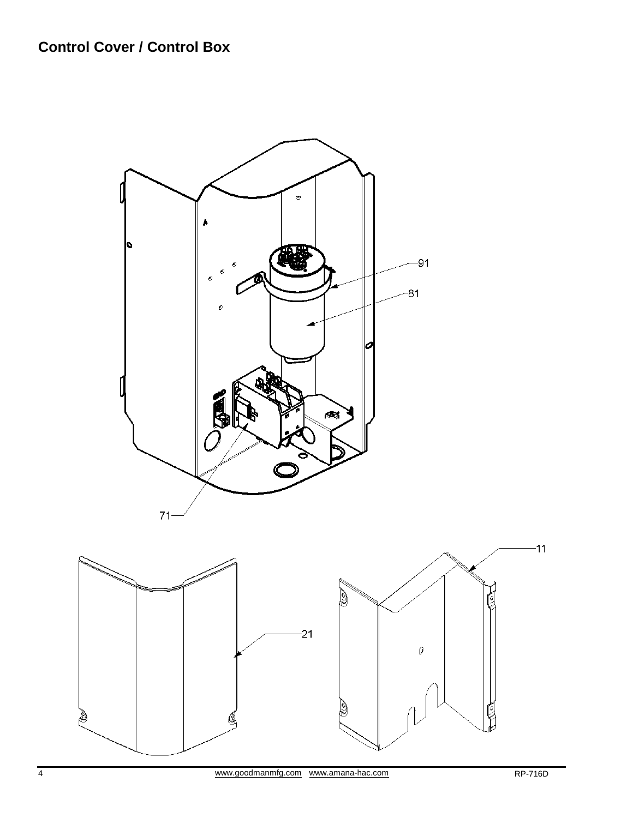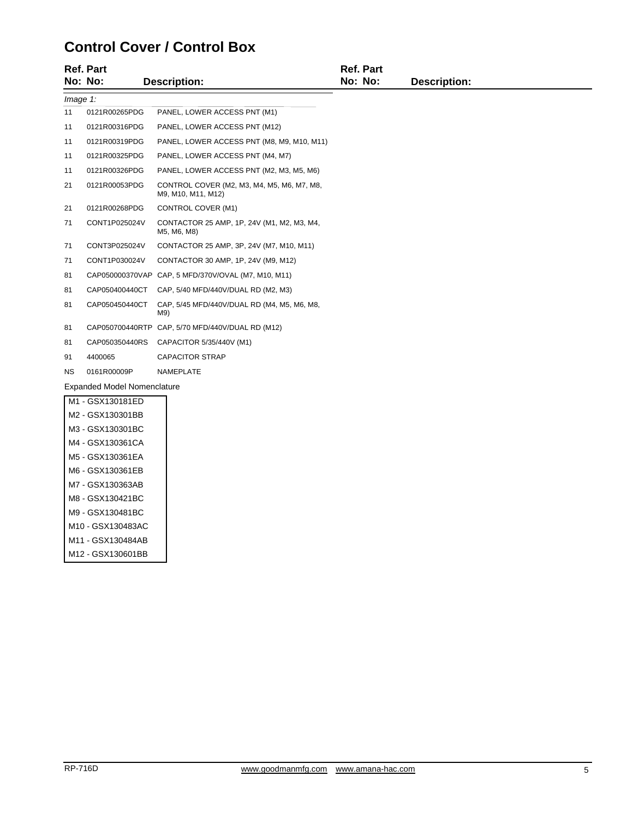## **Control Cover / Control Box**

|             | <b>Ref. Part</b>            |                                                                  | <b>Ref. Part</b> |              |  |
|-------------|-----------------------------|------------------------------------------------------------------|------------------|--------------|--|
|             | No: No:                     | <b>Description:</b>                                              | No: No:          | Description: |  |
| $Image 1$ : |                             |                                                                  |                  |              |  |
| 11          | 0121R00265PDG               | PANEL, LOWER ACCESS PNT (M1)                                     |                  |              |  |
| 11          | 0121R00316PDG               | PANEL, LOWER ACCESS PNT (M12)                                    |                  |              |  |
| 11          | 0121R00319PDG               | PANEL, LOWER ACCESS PNT (M8, M9, M10, M11)                       |                  |              |  |
| 11          | 0121R00325PDG               | PANEL, LOWER ACCESS PNT (M4, M7)                                 |                  |              |  |
| 11          | 0121R00326PDG               | PANEL, LOWER ACCESS PNT (M2, M3, M5, M6)                         |                  |              |  |
| 21          | 0121R00053PDG               | CONTROL COVER (M2, M3, M4, M5, M6, M7, M8,<br>M9, M10, M11, M12) |                  |              |  |
| 21          | 0121R00268PDG               | CONTROL COVER (M1)                                               |                  |              |  |
| 71          | CONT1P025024V               | CONTACTOR 25 AMP, 1P, 24V (M1, M2, M3, M4,<br>M5, M6, M8)        |                  |              |  |
| 71          | CONT3P025024V               | CONTACTOR 25 AMP, 3P, 24V (M7, M10, M11)                         |                  |              |  |
| 71          | CONT1P030024V               | CONTACTOR 30 AMP, 1P, 24V (M9, M12)                              |                  |              |  |
| 81          |                             | CAP050000370VAP CAP, 5 MFD/370V/OVAL (M7, M10, M11)              |                  |              |  |
| 81          | CAP050400440CT              | CAP, 5/40 MFD/440V/DUAL RD (M2, M3)                              |                  |              |  |
| 81          | CAP050450440CT              | CAP, 5/45 MFD/440V/DUAL RD (M4, M5, M6, M8,<br>M9)               |                  |              |  |
| 81          |                             | CAP050700440RTP CAP, 5/70 MFD/440V/DUAL RD (M12)                 |                  |              |  |
| 81          | CAP050350440RS              | CAPACITOR 5/35/440V (M1)                                         |                  |              |  |
| 91          | 4400065                     | <b>CAPACITOR STRAP</b>                                           |                  |              |  |
| <b>NS</b>   | 0161R00009P                 | NAMEPLATE                                                        |                  |              |  |
|             | Expanded Medal Nemanalature |                                                                  |                  |              |  |

### Expanded Model Nomenclature

| M1 - GSX130181FD  |
|-------------------|
| M2 - GSX130301BB  |
| M3 - GSX130301BC  |
| M4 - GSX130361CA  |
| M5 - GSX130361FA  |
| M6 - GSX130361FB  |
| M7 - GSX130363AB  |
| M8 - GSX130421BC  |
| M9 - GSX130481BC  |
| M10 - GSX130483AC |
| M11 - GSX130484AB |
| M12 - GSX130601BB |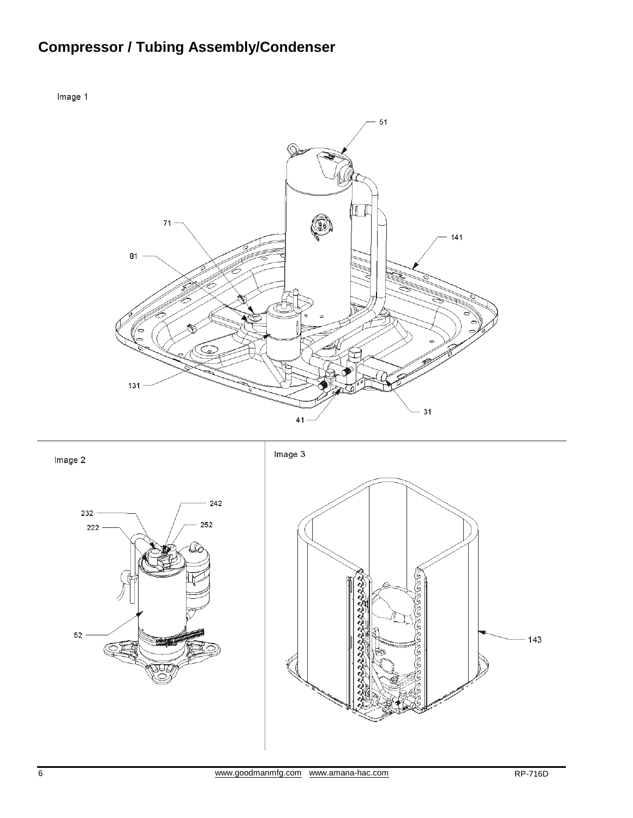# **Compressor / Tubing Assembly/Condenser**





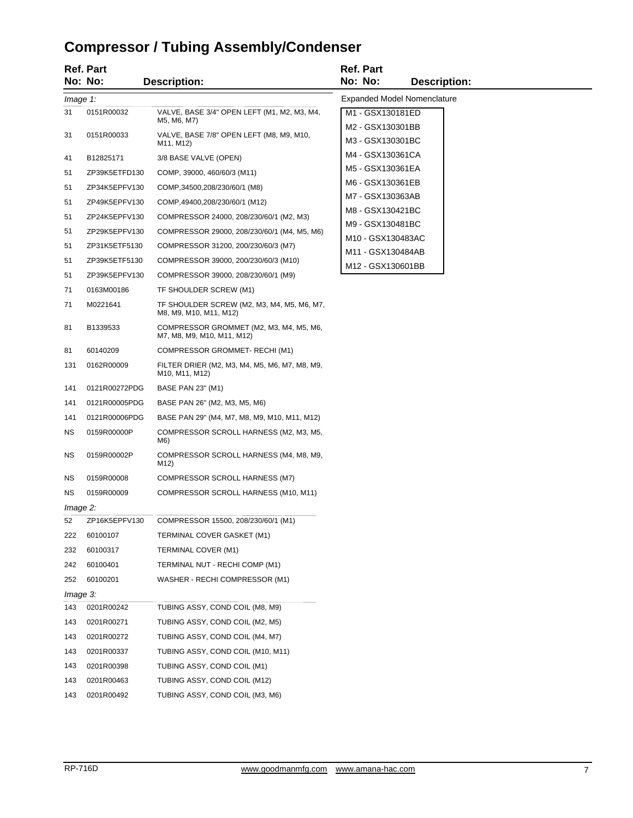# **Compressor / Tubing Assembly/Condenser**

|          | <b>Ref. Part</b> |                                                                                                        | Ref. Part                            |                                    |
|----------|------------------|--------------------------------------------------------------------------------------------------------|--------------------------------------|------------------------------------|
|          | No: No:          | <b>Description:</b>                                                                                    | No: No:                              | <b>Description:</b>                |
| Image 1: |                  |                                                                                                        |                                      | <b>Expanded Model Nomenclature</b> |
| 31       | 0151R00032       | VALVE, BASE 3/4" OPEN LEFT (M1, M2, M3, M4,<br>M5, M6, M7)                                             | M1 - GSX130181ED                     |                                    |
| 31       | 0151R00033       | VALVE, BASE 7/8" OPEN LEFT (M8, M9, M10,<br>M11, M12)                                                  | M2 - GSX130301BB<br>M3 - GSX130301BC |                                    |
| 41       | B12825171        | 3/8 BASE VALVE (OPEN)                                                                                  | M4 - GSX130361CA                     |                                    |
| 51       | ZP39K5ETFD130    | COMP, 39000, 460/60/3 (M11)                                                                            | M5 - GSX130361EA                     |                                    |
| 51       | ZP34K5EPFV130    | COMP, 34500, 208/230/60/1 (M8)                                                                         | M6 - GSX130361EB                     |                                    |
| 51       | ZP49K5EPFV130    | COMP, 49400, 208/230/60/1 (M12)                                                                        | M7 - GSX130363AB                     |                                    |
| 51       | ZP24K5EPFV130    | COMPRESSOR 24000, 208/230/60/1 (M2, M3)                                                                | M8 - GSX130421BC                     |                                    |
| 51       | ZP29K5EPFV130    | COMPRESSOR 29000, 208/230/60/1 (M4, M5, M6)                                                            | M9 - GSX130481BC                     |                                    |
| 51       | ZP31K5ETF5130    | COMPRESSOR 31200, 200/230/60/3 (M7)                                                                    | M10 - GSX130483AC                    |                                    |
| 51       | ZP39K5ETF5130    | COMPRESSOR 39000, 200/230/60/3 (M10)                                                                   | M11 - GSX130484AB                    |                                    |
| 51       | ZP39K5EPFV130    | COMPRESSOR 39000, 208/230/60/1 (M9)                                                                    | M12 - GSX130601BB                    |                                    |
| 71       | 0163M00186       | TF SHOULDER SCREW (M1)                                                                                 |                                      |                                    |
| 71       | M0221641         | TF SHOULDER SCREW (M2, M3, M4, M5, M6, M7,<br>M8, M9, M10, M11, M12)                                   |                                      |                                    |
| 81       | B1339533         | COMPRESSOR GROMMET (M2, M3, M4, M5, M6,<br>M7, M8, M9, M10, M11, M12)                                  |                                      |                                    |
| 81       | 60140209         | COMPRESSOR GROMMET- RECHI (M1)                                                                         |                                      |                                    |
| 131      | 0162R00009       | FILTER DRIER (M2, M3, M4, M5, M6, M7, M8, M9,<br>M <sub>10</sub> , M <sub>11</sub> , M <sub>12</sub> ) |                                      |                                    |
| 141      | 0121R00272PDG    | <b>BASE PAN 23" (M1)</b>                                                                               |                                      |                                    |
| 141      | 0121R00005PDG    | BASE PAN 26" (M2, M3, M5, M6)                                                                          |                                      |                                    |
| 141      | 0121R00006PDG    | BASE PAN 29" (M4, M7, M8, M9, M10, M11, M12)                                                           |                                      |                                    |
| ΝS       | 0159R00000P      | COMPRESSOR SCROLL HARNESS (M2, M3, M5,<br>M6)                                                          |                                      |                                    |
| ΝS       | 0159R00002P      | COMPRESSOR SCROLL HARNESS (M4, M8, M9,<br>M12)                                                         |                                      |                                    |
| ΝS       | 0159R00008       | COMPRESSOR SCROLL HARNESS (M7)                                                                         |                                      |                                    |
| ΝS       | 0159R00009       | COMPRESSOR SCROLL HARNESS (M10, M11)                                                                   |                                      |                                    |
| Image 2: |                  |                                                                                                        |                                      |                                    |
| 52       | ZP16K5EPFV130    | COMPRESSOR 15500, 208/230/60/1 (M1)                                                                    |                                      |                                    |
| 222      | 60100107         | TERMINAL COVER GASKET (M1)                                                                             |                                      |                                    |
| 232      | 60100317         | TERMINAL COVER (M1)                                                                                    |                                      |                                    |
| 242      | 60100401         | TERMINAL NUT - RECHI COMP (M1)                                                                         |                                      |                                    |
| 252      | 60100201         | WASHER - RECHI COMPRESSOR (M1)                                                                         |                                      |                                    |
| Image 3: |                  |                                                                                                        |                                      |                                    |
| 143      | 0201R00242       | TUBING ASSY, COND COIL (M8, M9)                                                                        |                                      |                                    |
| 143      | 0201R00271       | TUBING ASSY, COND COIL (M2, M5)                                                                        |                                      |                                    |
| 143      | 0201R00272       | TUBING ASSY, COND COIL (M4, M7)                                                                        |                                      |                                    |
| 143      | 0201R00337       | TUBING ASSY, COND COIL (M10, M11)                                                                      |                                      |                                    |
| 143      | 0201R00398       | TUBING ASSY, COND COIL (M1)                                                                            |                                      |                                    |
| 143      | 0201R00463       | TUBING ASSY, COND COIL (M12)                                                                           |                                      |                                    |
| 143      | 0201R00492       | TUBING ASSY, COND COIL (M3, M6)                                                                        |                                      |                                    |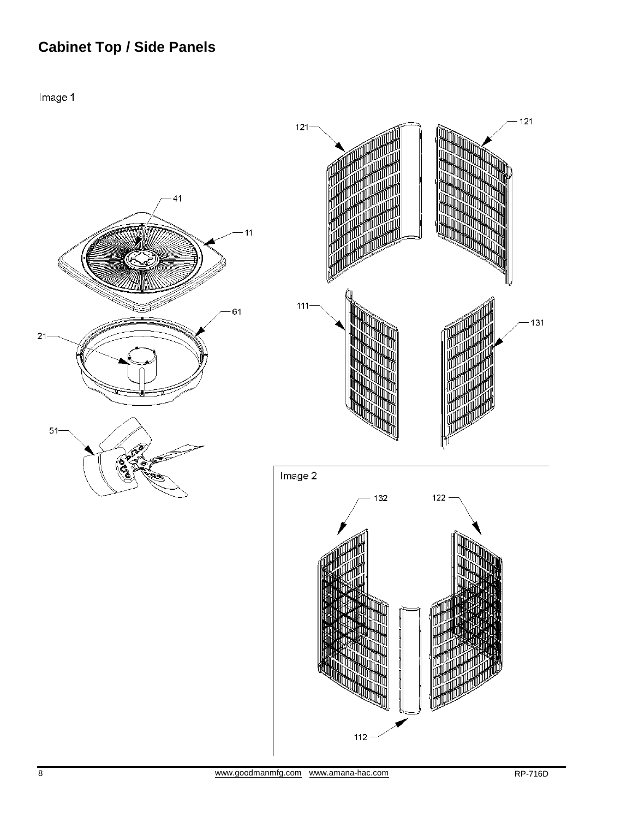# **Cabinet Top / Side Panels**

Image 1